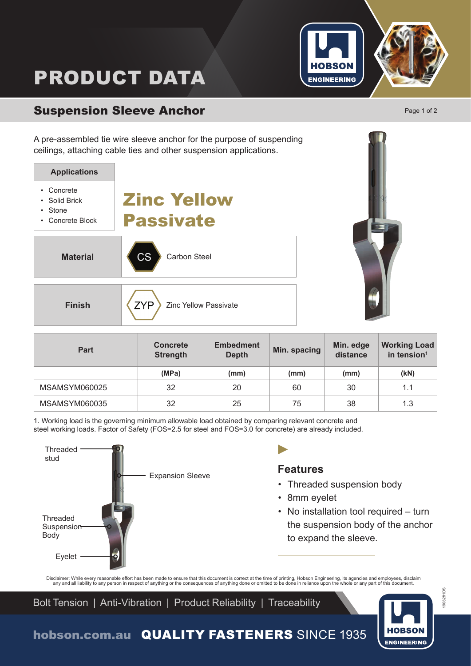

# PRODUCT DATA

## Suspension Sleeve Anchor **Page 1 of 2** Page 1 of 2

A pre-assembled tie wire sleeve anchor for the purpose of suspending ceilings, attaching cable ties and other suspension applications.





| <b>Part</b>   | <b>Concrete</b><br><b>Strength</b> | <b>Embedment</b><br>Min. spacing<br><b>Depth</b> |      | Min. edge<br>distance | <b>Working Load</b><br>in tension <sup>1</sup> |  |
|---------------|------------------------------------|--------------------------------------------------|------|-----------------------|------------------------------------------------|--|
|               | (MPa)                              | (mm)                                             | (mm) | (mm)                  | (kN)                                           |  |
| MSAMSYM060025 | 32                                 | 20                                               | 60   | 30                    | 1.1                                            |  |
| MSAMSYM060035 | 32                                 | 25                                               | 75   | 38                    | 1.3                                            |  |

1. Working load is the governing minimum allowable load obtained by comparing relevant concrete and steel working loads. Factor of Safety (FOS=2.5 for steel and FOS=3.0 for concrete) are already included.



### **Features**

D

- Threaded suspension body
- 8mm eyelet
- No installation tool required turn the suspension body of the anchor to expand the sleeve.

Disclaimer: While every reasonable effort has been made to ensure that this document is correct at the time of printing, Hobson Engineering, its agencies and employees, disclaim<br>any and all liability to any person in respe

Bolt Tension | Anti-Vibration | Product Reliability | Traceability



1903281DS

903281DS

hobson.com.au QUALITY FASTENERS SINCE 1935